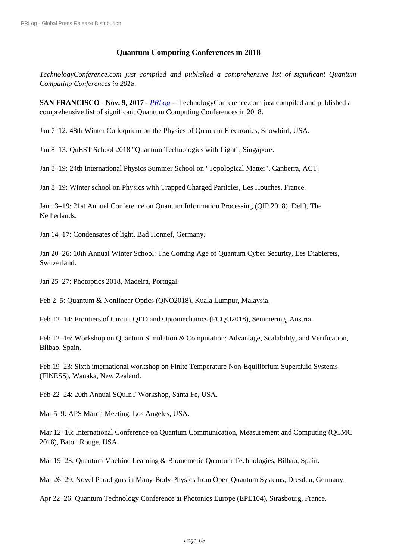## **[Q](https://www.prlog.org/)uantum Computing Conferences in 2018**

*TechnologyConference.com just compiled and published a comprehensive list of significant Quantum Computing Conferences in 2018.*

**SAN FRANCISCO** - **Nov. 9, 2017** - *PRLog* -- TechnologyConference.com just compiled and published a comprehensive list of significant Quantum Computing Conferences in 2018.

Jan 7–12: 48th Winter Colloquium o[n the Ph](https://www.prlog.org)ysics of Quantum Electronics, Snowbird, USA.

Jan 8–13: QuEST School 2018 "Quantum Technologies with Light", Singapore.

Jan 8–19: 24th International Physics Summer School on "Topological Matter", Canberra, ACT.

Jan 8–19: Winter school on Physics with Trapped Charged Particles, Les Houches, France.

Jan 13–19: 21st Annual Conference on Quantum Information Processing (QIP 2018), Delft, The Netherlands.

Jan 14–17: Condensates of light, Bad Honnef, Germany.

Jan 20–26: 10th Annual Winter School: The Coming Age of Quantum Cyber Security, Les Diablerets, Switzerland.

Jan 25–27: Photoptics 2018, Madeira, Portugal.

Feb 2–5: Quantum & Nonlinear Optics (QNO2018), Kuala Lumpur, Malaysia.

Feb 12–14: Frontiers of Circuit QED and Optomechanics (FCQO2018), Semmering, Austria.

Feb 12–16: Workshop on Quantum Simulation & Computation: Advantage, Scalability, and Verification, Bilbao, Spain.

Feb 19–23: Sixth international workshop on Finite Temperature Non-Equilibrium Superfluid Systems (FINESS), Wanaka, New Zealand.

Feb 22–24: 20th Annual SQuInT Workshop, Santa Fe, USA.

Mar 5–9: APS March Meeting, Los Angeles, USA.

Mar 12–16: International Conference on Quantum Communication, Measurement and Computing (QCMC 2018), Baton Rouge, USA.

Mar 19–23: Quantum Machine Learning & Biomemetic Quantum Technologies, Bilbao, Spain.

Mar 26–29: Novel Paradigms in Many-Body Physics from Open Quantum Systems, Dresden, Germany.

Apr 22–26: Quantum Technology Conference at Photonics Europe (EPE104), Strasbourg, France.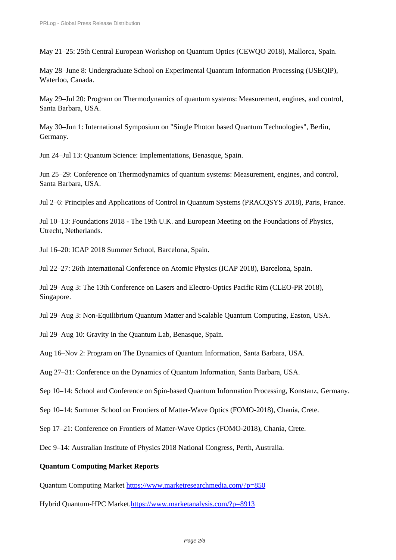[May 21–25: 25th Central European](https://www.prlog.org/) Workshop on Quantum Optics (CEWQO 2018), Mallorca, Spain.

May 28–June 8: Undergraduate School on Experimental Quantum Information Processing (USEQIP), Waterloo, Canada.

May 29–Jul 20: Program on Thermodynamics of quantum systems: Measurement, engines, and control, Santa Barbara, USA.

May 30–Jun 1: International Symposium on "Single Photon based Quantum Technologies", Berlin, Germany.

Jun 24–Jul 13: Quantum Science: Implementations, Benasque, Spain.

Jun 25–29: Conference on Thermodynamics of quantum systems: Measurement, engines, and control, Santa Barbara, USA.

Jul 2–6: Principles and Applications of Control in Quantum Systems (PRACQSYS 2018), Paris, France.

Jul 10–13: Foundations 2018 - The 19th U.K. and European Meeting on the Foundations of Physics, Utrecht, Netherlands.

Jul 16–20: ICAP 2018 Summer School, Barcelona, Spain.

Jul 22–27: 26th International Conference on Atomic Physics (ICAP 2018), Barcelona, Spain.

Jul 29–Aug 3: The 13th Conference on Lasers and Electro-Optics Pacific Rim (CLEO-PR 2018), Singapore.

Jul 29–Aug 3: Non-Equilibrium Quantum Matter and Scalable Quantum Computing, Easton, USA.

Jul 29–Aug 10: Gravity in the Quantum Lab, Benasque, Spain.

Aug 16–Nov 2: Program on The Dynamics of Quantum Information, Santa Barbara, USA.

Aug 27–31: Conference on the Dynamics of Quantum Information, Santa Barbara, USA.

Sep 10–14: School and Conference on Spin-based Quantum Information Processing, Konstanz, Germany.

Sep 10–14: Summer School on Frontiers of Matter-Wave Optics (FOMO-2018), Chania, Crete.

Sep 17–21: Conference on Frontiers of Matter-Wave Optics (FOMO-2018), Chania, Crete.

Dec 9–14: Australian Institute of Physics 2018 National Congress, Perth, Australia.

## **Quantum Computing Market Reports**

Quantum Computing Market https://www.marketresearchmedia.com/?p=850

Hybrid Quantum-HPC Market.https://www.marketanalysis.com/?p=8913